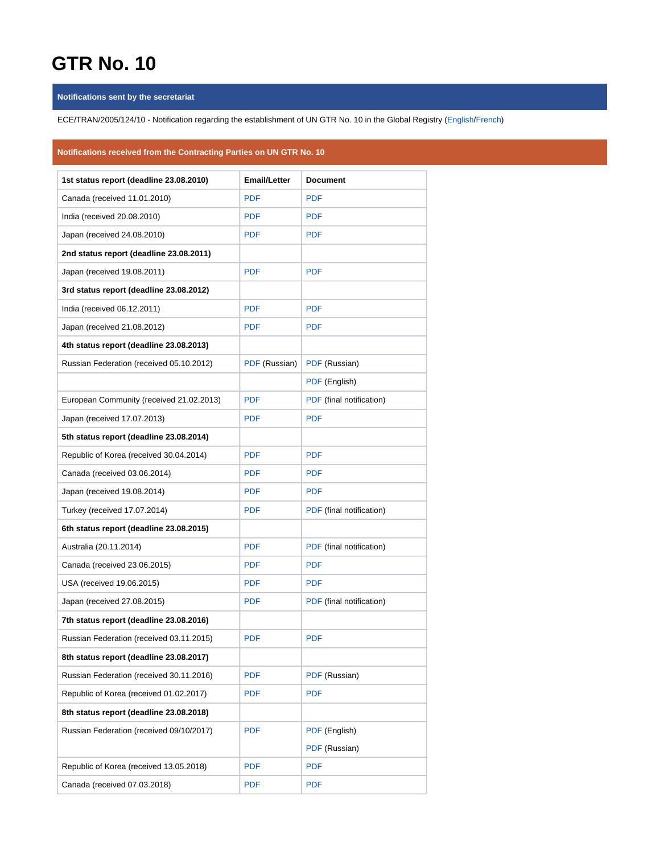## **GTR No. 10**

## **Notifications sent by the secretariat**

ECE/TRAN/2005/124/10 - Notification regarding the establishment of UN GTR No. 10 in the Global Registry [\(English/](https://wiki.unece.org/download/attachments/60360140/ECE-TRANS-2005-124-10e.pdf?version=1&modificationDate=1523357253712&api=v2)[French](https://wiki.unece.org/download/attachments/60360140/ECE-TRANS-2005-124-10f.pdf?version=1&modificationDate=1523357253655&api=v2))

## **Notifications received from the Contracting Parties on UN GTR No. 10**

| 1st status report (deadline 23.08.2010)  | <b>Email/Letter</b> | <b>Document</b>          |
|------------------------------------------|---------------------|--------------------------|
| Canada (received 11.01.2010)             | <b>PDF</b>          | <b>PDF</b>               |
| India (received 20.08.2010)              | <b>PDF</b>          | <b>PDF</b>               |
| Japan (received 24.08.2010)              | <b>PDF</b>          | <b>PDF</b>               |
| 2nd status report (deadline 23.08.2011)  |                     |                          |
| Japan (received 19.08.2011)              | <b>PDF</b>          | <b>PDF</b>               |
| 3rd status report (deadline 23.08.2012)  |                     |                          |
| India (received 06.12.2011)              | <b>PDF</b>          | <b>PDF</b>               |
| Japan (received 21.08.2012)              | <b>PDF</b>          | <b>PDF</b>               |
| 4th status report (deadline 23.08.2013)  |                     |                          |
| Russian Federation (received 05.10.2012) | PDF (Russian)       | PDF (Russian)            |
|                                          |                     | PDF (English)            |
| European Community (received 21.02.2013) | <b>PDF</b>          | PDF (final notification) |
| Japan (received 17.07.2013)              | <b>PDF</b>          | <b>PDF</b>               |
| 5th status report (deadline 23.08.2014)  |                     |                          |
| Republic of Korea (received 30.04.2014)  | <b>PDF</b>          | <b>PDF</b>               |
| Canada (received 03.06.2014)             | <b>PDF</b>          | <b>PDF</b>               |
| Japan (received 19.08.2014)              | <b>PDF</b>          | <b>PDF</b>               |
| Turkey (received 17.07.2014)             | <b>PDF</b>          | PDF (final notification) |
| 6th status report (deadline 23.08.2015)  |                     |                          |
| Australia (20.11.2014)                   | <b>PDF</b>          | PDF (final notification) |
| Canada (received 23.06.2015)             | <b>PDF</b>          | <b>PDF</b>               |
| USA (received 19.06.2015)                | <b>PDF</b>          | <b>PDF</b>               |
| Japan (received 27.08.2015)              | <b>PDF</b>          | PDF (final notification) |
| 7th status report (deadline 23.08.2016)  |                     |                          |
| Russian Federation (received 03.11.2015) | <b>PDF</b>          | <b>PDF</b>               |
| 8th status report (deadline 23.08.2017)  |                     |                          |
| Russian Federation (received 30.11.2016) | <b>PDF</b>          | PDF (Russian)            |
| Republic of Korea (received 01.02.2017)  | <b>PDF</b>          | <b>PDF</b>               |
| 8th status report (deadline 23.08.2018)  |                     |                          |
| Russian Federation (received 09/10/2017) | <b>PDF</b>          | PDF (English)            |
|                                          |                     | PDF (Russian)            |
| Republic of Korea (received 13.05.2018)  | <b>PDF</b>          | <b>PDF</b>               |
| Canada (received 07.03.2018)             | <b>PDF</b>          | <b>PDF</b>               |